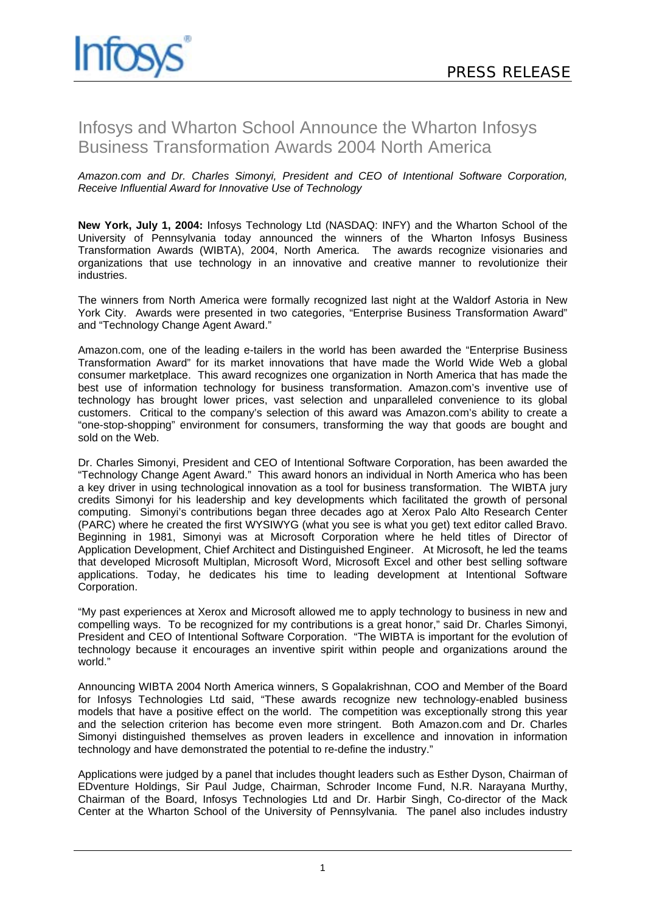## Infosys and Wharton School Announce the Wharton Infosys Business Transformation Awards 2004 North America

*Amazon.com and Dr. Charles Simonyi, President and CEO of Intentional Software Corporation, Receive Influential Award for Innovative Use of Technology* 

**New York, July 1, 2004:** Infosys Technology Ltd (NASDAQ: INFY) and the Wharton School of the University of Pennsylvania today announced the winners of the Wharton Infosys Business Transformation Awards (WIBTA), 2004, North America. The awards recognize visionaries and organizations that use technology in an innovative and creative manner to revolutionize their industries.

The winners from North America were formally recognized last night at the Waldorf Astoria in New York City. Awards were presented in two categories, "Enterprise Business Transformation Award" and "Technology Change Agent Award."

Amazon.com, one of the leading e-tailers in the world has been awarded the "Enterprise Business Transformation Award" for its market innovations that have made the World Wide Web a global consumer marketplace. This award recognizes one organization in North America that has made the best use of information technology for business transformation. Amazon.com's inventive use of technology has brought lower prices, vast selection and unparalleled convenience to its global customers. Critical to the company's selection of this award was Amazon.com's ability to create a "one-stop-shopping" environment for consumers, transforming the way that goods are bought and sold on the Web.

Dr. Charles Simonyi, President and CEO of Intentional Software Corporation, has been awarded the "Technology Change Agent Award." This award honors an individual in North America who has been a key driver in using technological innovation as a tool for business transformation. The WIBTA jury credits Simonyi for his leadership and key developments which facilitated the growth of personal computing. Simonyi's contributions began three decades ago at Xerox Palo Alto Research Center (PARC) where he created the first WYSIWYG (what you see is what you get) text editor called Bravo. Beginning in 1981, Simonyi was at Microsoft Corporation where he held titles of Director of Application Development, Chief Architect and Distinguished Engineer. At Microsoft, he led the teams that developed Microsoft Multiplan, Microsoft Word, Microsoft Excel and other best selling software applications. Today, he dedicates his time to leading development at Intentional Software Corporation.

"My past experiences at Xerox and Microsoft allowed me to apply technology to business in new and compelling ways. To be recognized for my contributions is a great honor," said Dr. Charles Simonyi, President and CEO of Intentional Software Corporation. "The WIBTA is important for the evolution of technology because it encourages an inventive spirit within people and organizations around the world."

Announcing WIBTA 2004 North America winners, S Gopalakrishnan, COO and Member of the Board for Infosys Technologies Ltd said, "These awards recognize new technology-enabled business models that have a positive effect on the world. The competition was exceptionally strong this year and the selection criterion has become even more stringent. Both Amazon.com and Dr. Charles Simonyi distinguished themselves as proven leaders in excellence and innovation in information technology and have demonstrated the potential to re-define the industry."

Applications were judged by a panel that includes thought leaders such as Esther Dyson, Chairman of EDventure Holdings, Sir Paul Judge, Chairman, Schroder Income Fund, N.R. Narayana Murthy, Chairman of the Board, Infosys Technologies Ltd and Dr. Harbir Singh, Co-director of the Mack Center at the Wharton School of the University of Pennsylvania. The panel also includes industry